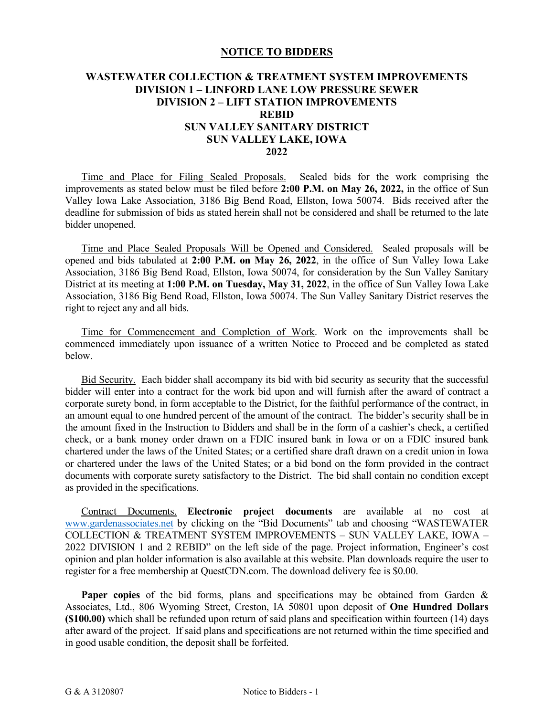## **NOTICE TO BIDDERS**

## **WASTEWATER COLLECTION & TREATMENT SYSTEM IMPROVEMENTS DIVISION 1 – LINFORD LANE LOW PRESSURE SEWER DIVISION 2 – LIFT STATION IMPROVEMENTS REBID SUN VALLEY SANITARY DISTRICT SUN VALLEY LAKE, IOWA 2022**

Time and Place for Filing Sealed Proposals. Sealed bids for the work comprising the improvements as stated below must be filed before **2:00 P.M. on May 26, 2022,** in the office of Sun Valley Iowa Lake Association, 3186 Big Bend Road, Ellston, Iowa 50074. Bids received after the deadline for submission of bids as stated herein shall not be considered and shall be returned to the late bidder unopened.

Time and Place Sealed Proposals Will be Opened and Considered. Sealed proposals will be opened and bids tabulated at **2:00 P.M. on May 26, 2022**, in the office of Sun Valley Iowa Lake Association, 3186 Big Bend Road, Ellston, Iowa 50074, for consideration by the Sun Valley Sanitary District at its meeting at **1:00 P.M. on Tuesday, May 31, 2022**, in the office of Sun Valley Iowa Lake Association, 3186 Big Bend Road, Ellston, Iowa 50074. The Sun Valley Sanitary District reserves the right to reject any and all bids.

 Time for Commencement and Completion of Work. Work on the improvements shall be commenced immediately upon issuance of a written Notice to Proceed and be completed as stated below.

Bid Security. Each bidder shall accompany its bid with bid security as security that the successful bidder will enter into a contract for the work bid upon and will furnish after the award of contract a corporate surety bond, in form acceptable to the District, for the faithful performance of the contract, in an amount equal to one hundred percent of the amount of the contract. The bidder's security shall be in the amount fixed in the Instruction to Bidders and shall be in the form of a cashier's check, a certified check, or a bank money order drawn on a FDIC insured bank in Iowa or on a FDIC insured bank chartered under the laws of the United States; or a certified share draft drawn on a credit union in Iowa or chartered under the laws of the United States; or a bid bond on the form provided in the contract documents with corporate surety satisfactory to the District. The bid shall contain no condition except as provided in the specifications.

Contract Documents. **Electronic project documents** are available at no cost at [www.gardenassociates.net](http://www.gardenassociates.net/) by clicking on the "Bid Documents" tab and choosing "WASTEWATER COLLECTION & TREATMENT SYSTEM IMPROVEMENTS – SUN VALLEY LAKE, IOWA – 2022 DIVISION 1 and 2 REBID" on the left side of the page. Project information, Engineer's cost opinion and plan holder information is also available at this website. Plan downloads require the user to register for a free membership at QuestCDN.com. The download delivery fee is \$0.00.

**Paper copies** of the bid forms, plans and specifications may be obtained from Garden & Associates, Ltd., 806 Wyoming Street, Creston, IA 50801 upon deposit of **One Hundred Dollars (\$100.00)** which shall be refunded upon return of said plans and specification within fourteen (14) days after award of the project. If said plans and specifications are not returned within the time specified and in good usable condition, the deposit shall be forfeited.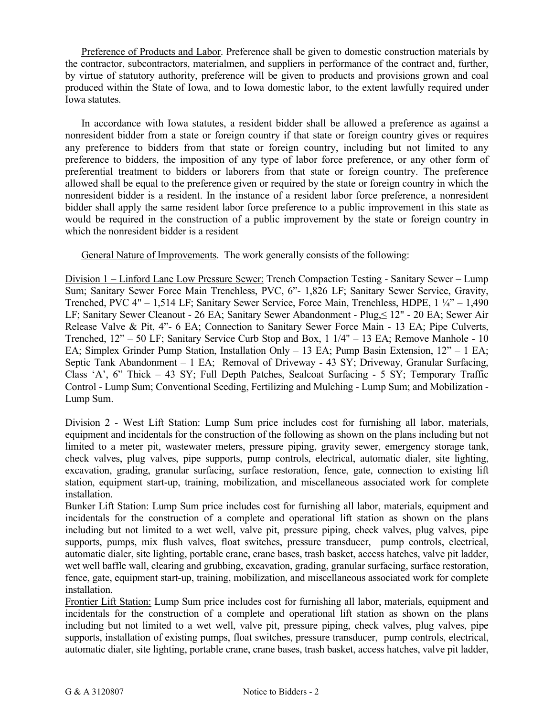Preference of Products and Labor. Preference shall be given to domestic construction materials by the contractor, subcontractors, materialmen, and suppliers in performance of the contract and, further, by virtue of statutory authority, preference will be given to products and provisions grown and coal produced within the State of Iowa, and to Iowa domestic labor, to the extent lawfully required under Iowa statutes.

In accordance with Iowa statutes, a resident bidder shall be allowed a preference as against a nonresident bidder from a state or foreign country if that state or foreign country gives or requires any preference to bidders from that state or foreign country, including but not limited to any preference to bidders, the imposition of any type of labor force preference, or any other form of preferential treatment to bidders or laborers from that state or foreign country. The preference allowed shall be equal to the preference given or required by the state or foreign country in which the nonresident bidder is a resident. In the instance of a resident labor force preference, a nonresident bidder shall apply the same resident labor force preference to a public improvement in this state as would be required in the construction of a public improvement by the state or foreign country in which the nonresident bidder is a resident

General Nature of Improvements. The work generally consists of the following:

Division 1 – Linford Lane Low Pressure Sewer: Trench Compaction Testing - Sanitary Sewer – Lump Sum; Sanitary Sewer Force Main Trenchless, PVC, 6"- 1,826 LF; Sanitary Sewer Service, Gravity, Trenched, PVC 4" – 1,514 LF; Sanitary Sewer Service, Force Main, Trenchless, HDPE, 1 ¼" – 1,490 LF; Sanitary Sewer Cleanout - 26 EA; Sanitary Sewer Abandonment - Plug,≤ 12" - 20 EA; Sewer Air Release Valve & Pit, 4"- 6 EA; Connection to Sanitary Sewer Force Main - 13 EA; Pipe Culverts, Trenched, 12" – 50 LF; Sanitary Service Curb Stop and Box, 1 1/4" – 13 EA; Remove Manhole - 10 EA; Simplex Grinder Pump Station, Installation Only – 13 EA; Pump Basin Extension, 12" – 1 EA; Septic Tank Abandonment – 1 EA; Removal of Driveway - 43 SY; Driveway, Granular Surfacing, Class 'A', 6" Thick – 43 SY; Full Depth Patches, Sealcoat Surfacing - 5 SY; Temporary Traffic Control - Lump Sum; Conventional Seeding, Fertilizing and Mulching - Lump Sum; and Mobilization - Lump Sum.

Division 2 - West Lift Station: Lump Sum price includes cost for furnishing all labor, materials, equipment and incidentals for the construction of the following as shown on the plans including but not limited to a meter pit, wastewater meters, pressure piping, gravity sewer, emergency storage tank, check valves, plug valves, pipe supports, pump controls, electrical, automatic dialer, site lighting, excavation, grading, granular surfacing, surface restoration, fence, gate, connection to existing lift station, equipment start-up, training, mobilization, and miscellaneous associated work for complete installation.

Bunker Lift Station: Lump Sum price includes cost for furnishing all labor, materials, equipment and incidentals for the construction of a complete and operational lift station as shown on the plans including but not limited to a wet well, valve pit, pressure piping, check valves, plug valves, pipe supports, pumps, mix flush valves, float switches, pressure transducer, pump controls, electrical, automatic dialer, site lighting, portable crane, crane bases, trash basket, access hatches, valve pit ladder, wet well baffle wall, clearing and grubbing, excavation, grading, granular surfacing, surface restoration, fence, gate, equipment start-up, training, mobilization, and miscellaneous associated work for complete installation.

Frontier Lift Station: Lump Sum price includes cost for furnishing all labor, materials, equipment and incidentals for the construction of a complete and operational lift station as shown on the plans including but not limited to a wet well, valve pit, pressure piping, check valves, plug valves, pipe supports, installation of existing pumps, float switches, pressure transducer, pump controls, electrical, automatic dialer, site lighting, portable crane, crane bases, trash basket, access hatches, valve pit ladder,